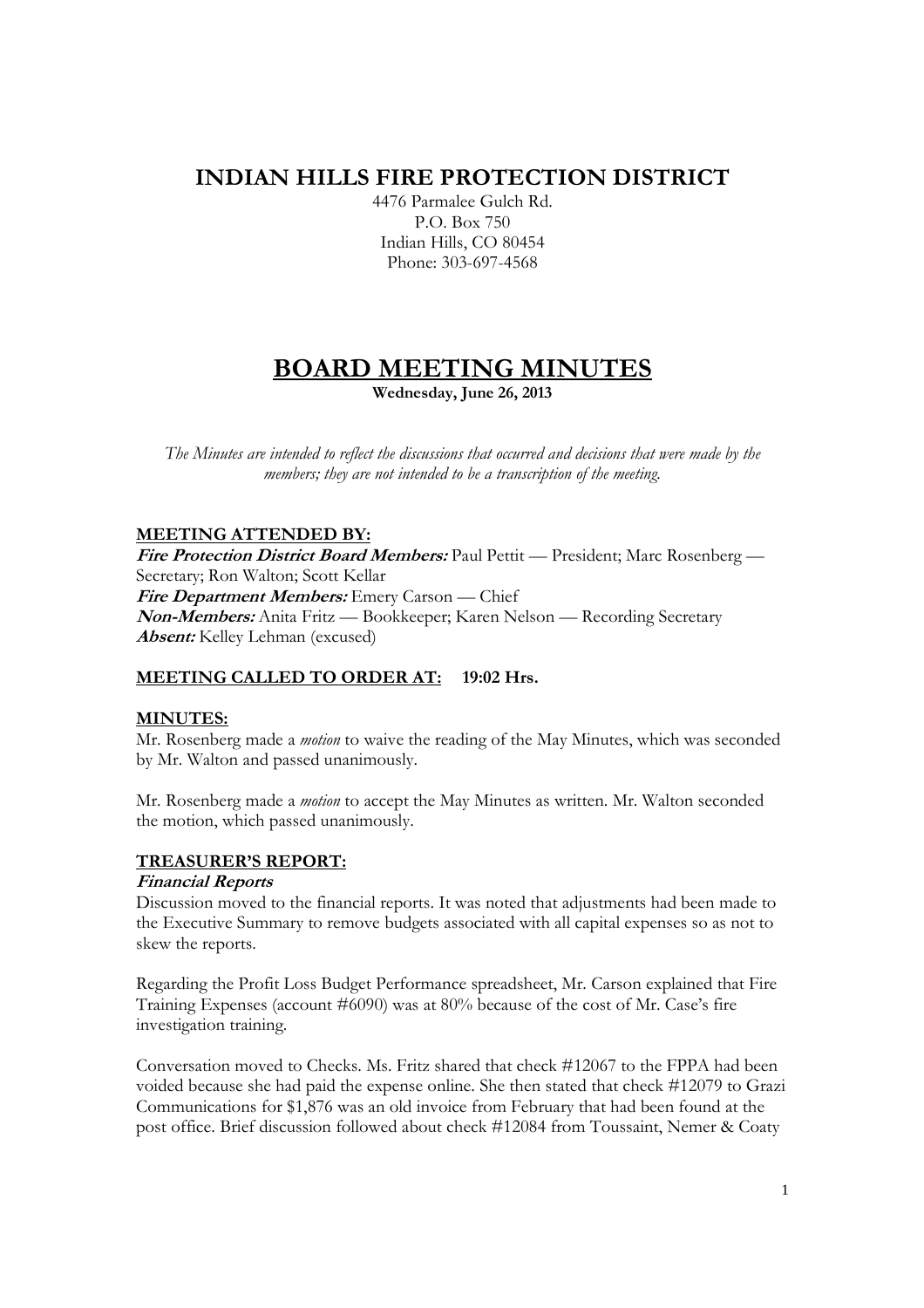## **INDIAN HILLS FIRE PROTECTION DISTRICT**

4476 Parmalee Gulch Rd. P.O. Box 750 Indian Hills, CO 80454 Phone: 303-697-4568

# **BOARD MEETING MINUTES**

**Wednesday, June 26, 2013** 

*The Minutes are intended to reflect the discussions that occurred and decisions that were made by the members; they are not intended to be a transcription of the meeting.* 

## **MEETING ATTENDED BY:**

**Fire Protection District Board Members:** Paul Pettit — President; Marc Rosenberg — Secretary; Ron Walton; Scott Kellar **Fire Department Members:** Emery Carson — Chief **Non-Members:** Anita Fritz — Bookkeeper; Karen Nelson — Recording Secretary **Absent:** Kelley Lehman (excused)

## **MEETING CALLED TO ORDER AT: 19:02 Hrs.**

## **MINUTES:**

Mr. Rosenberg made a *motion* to waive the reading of the May Minutes, which was seconded by Mr. Walton and passed unanimously.

Mr. Rosenberg made a *motion* to accept the May Minutes as written. Mr. Walton seconded the motion, which passed unanimously.

## **TREASURER'S REPORT:**

## **Financial Reports**

Discussion moved to the financial reports. It was noted that adjustments had been made to the Executive Summary to remove budgets associated with all capital expenses so as not to skew the reports.

Regarding the Profit Loss Budget Performance spreadsheet, Mr. Carson explained that Fire Training Expenses (account #6090) was at 80% because of the cost of Mr. Case's fire investigation training.

Conversation moved to Checks. Ms. Fritz shared that check #12067 to the FPPA had been voided because she had paid the expense online. She then stated that check #12079 to Grazi Communications for \$1,876 was an old invoice from February that had been found at the post office. Brief discussion followed about check #12084 from Toussaint, Nemer & Coaty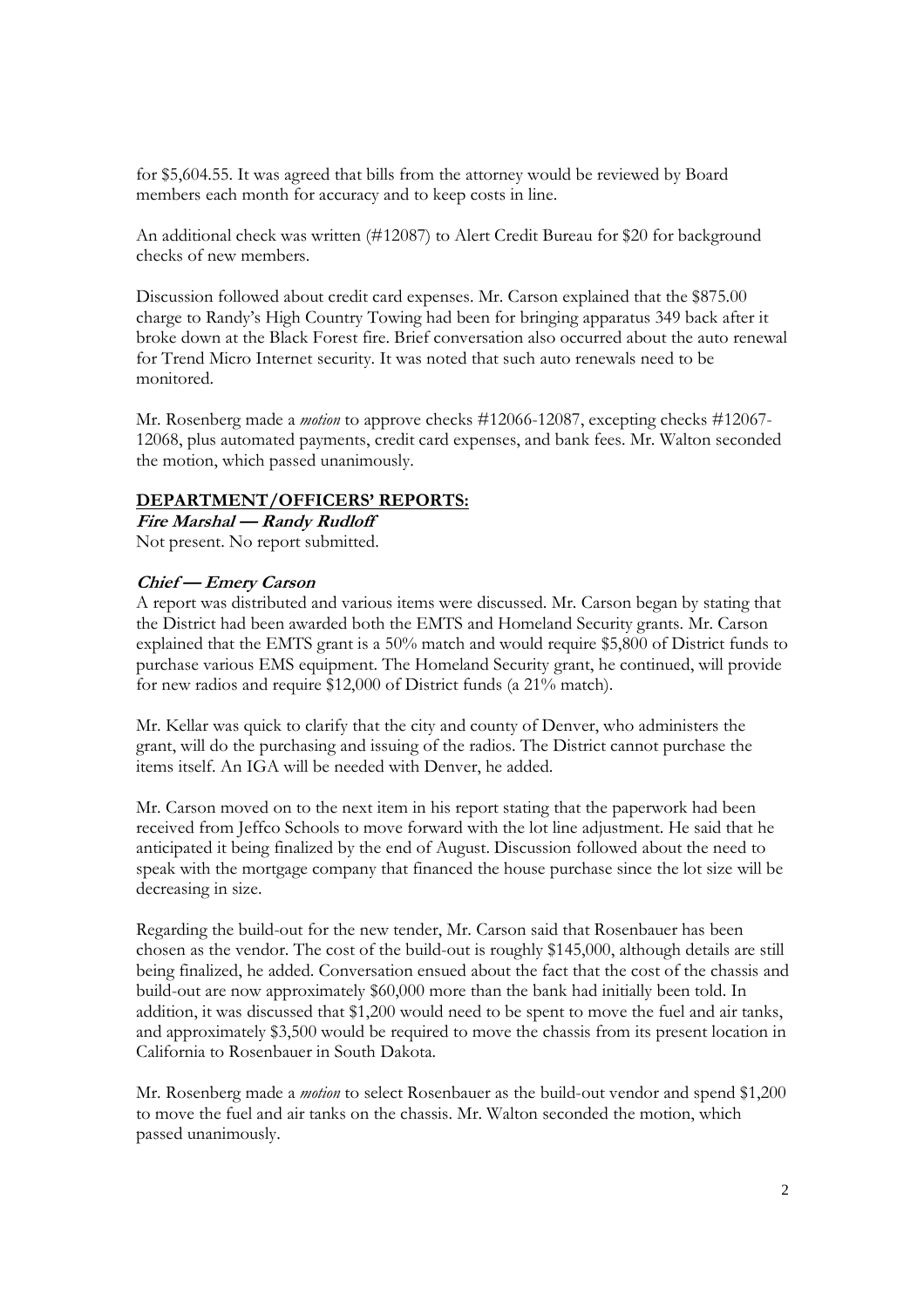for \$5,604.55. It was agreed that bills from the attorney would be reviewed by Board members each month for accuracy and to keep costs in line.

An additional check was written (#12087) to Alert Credit Bureau for \$20 for background checks of new members.

Discussion followed about credit card expenses. Mr. Carson explained that the \$875.00 charge to Randy's High Country Towing had been for bringing apparatus 349 back after it broke down at the Black Forest fire. Brief conversation also occurred about the auto renewal for Trend Micro Internet security. It was noted that such auto renewals need to be monitored.

Mr. Rosenberg made a *motion* to approve checks #12066-12087, excepting checks #12067- 12068, plus automated payments, credit card expenses, and bank fees. Mr. Walton seconded the motion, which passed unanimously.

#### **DEPARTMENT/OFFICERS' REPORTS:**

**Fire Marshal — Randy Rudloff**  Not present. No report submitted.

## **Chief — Emery Carson**

A report was distributed and various items were discussed. Mr. Carson began by stating that the District had been awarded both the EMTS and Homeland Security grants. Mr. Carson explained that the EMTS grant is a 50% match and would require \$5,800 of District funds to purchase various EMS equipment. The Homeland Security grant, he continued, will provide for new radios and require \$12,000 of District funds (a 21% match).

Mr. Kellar was quick to clarify that the city and county of Denver, who administers the grant, will do the purchasing and issuing of the radios. The District cannot purchase the items itself. An IGA will be needed with Denver, he added.

Mr. Carson moved on to the next item in his report stating that the paperwork had been received from Jeffco Schools to move forward with the lot line adjustment. He said that he anticipated it being finalized by the end of August. Discussion followed about the need to speak with the mortgage company that financed the house purchase since the lot size will be decreasing in size.

Regarding the build-out for the new tender, Mr. Carson said that Rosenbauer has been chosen as the vendor. The cost of the build-out is roughly \$145,000, although details are still being finalized, he added. Conversation ensued about the fact that the cost of the chassis and build-out are now approximately \$60,000 more than the bank had initially been told. In addition, it was discussed that \$1,200 would need to be spent to move the fuel and air tanks, and approximately \$3,500 would be required to move the chassis from its present location in California to Rosenbauer in South Dakota.

Mr. Rosenberg made a *motion* to select Rosenbauer as the build-out vendor and spend \$1,200 to move the fuel and air tanks on the chassis. Mr. Walton seconded the motion, which passed unanimously.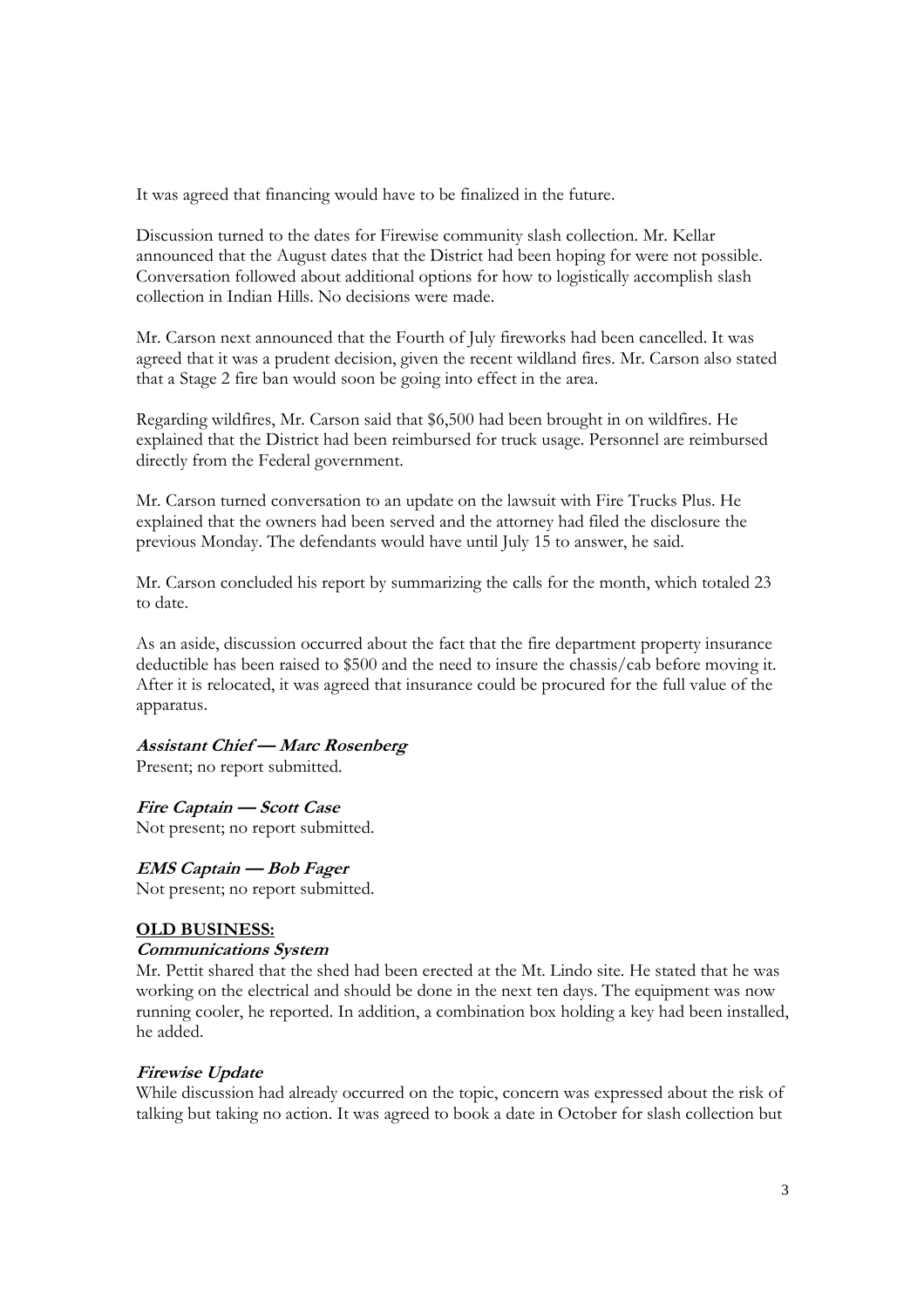It was agreed that financing would have to be finalized in the future.

Discussion turned to the dates for Firewise community slash collection. Mr. Kellar announced that the August dates that the District had been hoping for were not possible. Conversation followed about additional options for how to logistically accomplish slash collection in Indian Hills. No decisions were made.

Mr. Carson next announced that the Fourth of July fireworks had been cancelled. It was agreed that it was a prudent decision, given the recent wildland fires. Mr. Carson also stated that a Stage 2 fire ban would soon be going into effect in the area.

Regarding wildfires, Mr. Carson said that \$6,500 had been brought in on wildfires. He explained that the District had been reimbursed for truck usage. Personnel are reimbursed directly from the Federal government.

Mr. Carson turned conversation to an update on the lawsuit with Fire Trucks Plus. He explained that the owners had been served and the attorney had filed the disclosure the previous Monday. The defendants would have until July 15 to answer, he said.

Mr. Carson concluded his report by summarizing the calls for the month, which totaled 23 to date.

As an aside, discussion occurred about the fact that the fire department property insurance deductible has been raised to \$500 and the need to insure the chassis/cab before moving it. After it is relocated, it was agreed that insurance could be procured for the full value of the apparatus.

## **Assistant Chief — Marc Rosenberg**

Present; no report submitted.

**Fire Captain — Scott Case** 

Not present; no report submitted.

## **EMS Captain — Bob Fager**

Not present; no report submitted.

## **OLD BUSINESS:**

## **Communications System**

Mr. Pettit shared that the shed had been erected at the Mt. Lindo site. He stated that he was working on the electrical and should be done in the next ten days. The equipment was now running cooler, he reported. In addition, a combination box holding a key had been installed, he added.

## **Firewise Update**

While discussion had already occurred on the topic, concern was expressed about the risk of talking but taking no action. It was agreed to book a date in October for slash collection but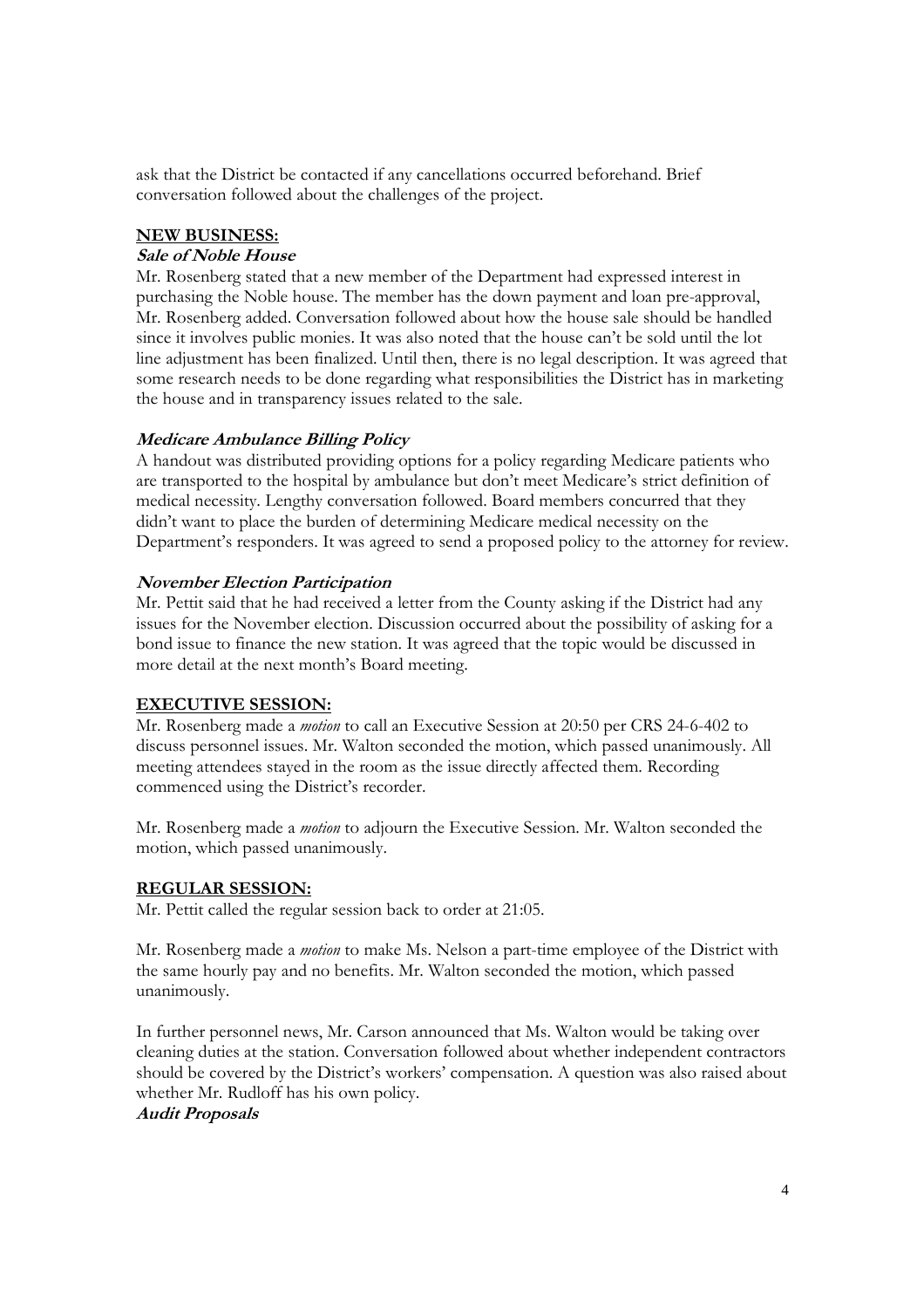ask that the District be contacted if any cancellations occurred beforehand. Brief conversation followed about the challenges of the project.

#### **NEW BUSINESS:**

#### **Sale of Noble House**

Mr. Rosenberg stated that a new member of the Department had expressed interest in purchasing the Noble house. The member has the down payment and loan pre-approval, Mr. Rosenberg added. Conversation followed about how the house sale should be handled since it involves public monies. It was also noted that the house can't be sold until the lot line adjustment has been finalized. Until then, there is no legal description. It was agreed that some research needs to be done regarding what responsibilities the District has in marketing the house and in transparency issues related to the sale.

## **Medicare Ambulance Billing Policy**

A handout was distributed providing options for a policy regarding Medicare patients who are transported to the hospital by ambulance but don't meet Medicare's strict definition of medical necessity. Lengthy conversation followed. Board members concurred that they didn't want to place the burden of determining Medicare medical necessity on the Department's responders. It was agreed to send a proposed policy to the attorney for review.

## **November Election Participation**

Mr. Pettit said that he had received a letter from the County asking if the District had any issues for the November election. Discussion occurred about the possibility of asking for a bond issue to finance the new station. It was agreed that the topic would be discussed in more detail at the next month's Board meeting.

#### **EXECUTIVE SESSION:**

Mr. Rosenberg made a *motion* to call an Executive Session at 20:50 per CRS 24-6-402 to discuss personnel issues. Mr. Walton seconded the motion, which passed unanimously. All meeting attendees stayed in the room as the issue directly affected them. Recording commenced using the District's recorder.

Mr. Rosenberg made a *motion* to adjourn the Executive Session. Mr. Walton seconded the motion, which passed unanimously.

#### **REGULAR SESSION:**

Mr. Pettit called the regular session back to order at 21:05.

Mr. Rosenberg made a *motion* to make Ms. Nelson a part-time employee of the District with the same hourly pay and no benefits. Mr. Walton seconded the motion, which passed unanimously.

In further personnel news, Mr. Carson announced that Ms. Walton would be taking over cleaning duties at the station. Conversation followed about whether independent contractors should be covered by the District's workers' compensation. A question was also raised about whether Mr. Rudloff has his own policy.

## **Audit Proposals**